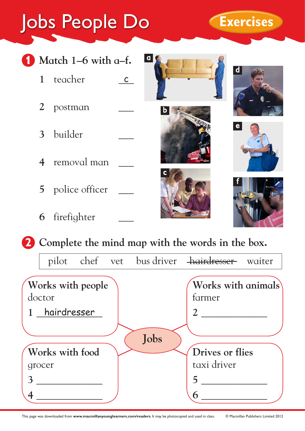## Jobs People Do **Exercises**

**1 Match 1–6 with a–f.**

2 postman

3 builder

4 removal man

**5** police officer

**6** firefighter

1 teacher c



**2 Complete the mind map with the words in the box.**

|                             |  |      | pilot chef vet bus driver <del>hairdresser</del> | waiter |
|-----------------------------|--|------|--------------------------------------------------|--------|
| Works with people<br>doctor |  |      | Works with animals<br>farmer                     |        |
| 1 hairdresser               |  |      |                                                  |        |
|                             |  | Jobs |                                                  |        |
| Works with food             |  |      | <b>Drives or flies</b>                           |        |
| grocer                      |  |      | taxi driver                                      |        |
|                             |  |      |                                                  |        |
|                             |  |      |                                                  |        |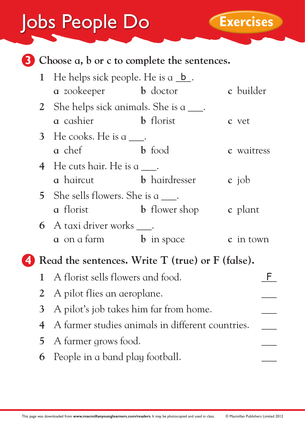## Jobs People Do **Exercises**



| 1 He helps sick people. He is $a_b$ .    |                      |            |  |  |  |
|------------------------------------------|----------------------|------------|--|--|--|
| a zookeeper b doctor                     |                      | c builder  |  |  |  |
| 2 She helps sick animals. She is a ____. |                      |            |  |  |  |
| <b>b</b> florist<br>a cashier            |                      | c vet      |  |  |  |
| 3 He cooks. He is a .                    |                      |            |  |  |  |
| a chef                                   | <b>b</b> food        | c waitress |  |  |  |
| 4 He cuts hair. He is a $\qquad$ .       |                      |            |  |  |  |
| a haircut                                | <b>b</b> hairdresser | c job      |  |  |  |
| 5 She sells flowers. She is a ____.      |                      |            |  |  |  |
| a florist                                | <b>b</b> flower shop | c plant    |  |  |  |
| 6 A taxi driver works ____.              |                      |            |  |  |  |
| <b>a</b> on a farm                       | <b>b</b> in space    | c in town  |  |  |  |
|                                          |                      |            |  |  |  |

**4 Read the sentences. Write T (true) or F (false).**

| 1 A florist sells flowers and food.                |  |
|----------------------------------------------------|--|
| 2 A pilot flies an aeroplane.                      |  |
| 3 A pilot's job takes him far from home.           |  |
| 4 A farmer studies animals in different countries. |  |
| 5 A farmer grows food.                             |  |
| 6 People in a band play football.                  |  |
|                                                    |  |